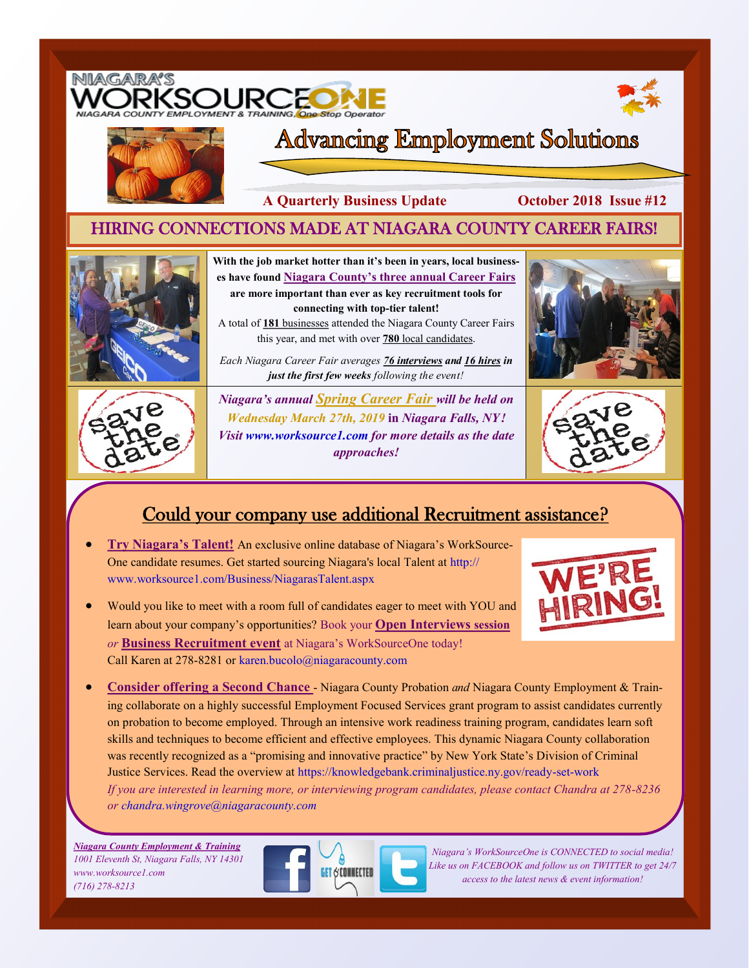

# Could your company use additional Recruitment assistance?

- **Try Niagara's Talent!** An exclusive online database of Niagara's WorkSource-One candidate resumes. Get started sourcing Niagara's local Talent at http:// www.worksource1.com/Business/NiagarasTalent.aspx
- Would you like to meet with a room full of candidates eager to meet with YOU and learn about your company's opportunities? Book your **Open Interviews session**  *or* **Business Recruitment event** at Niagara's WorkSourceOne today! Call Karen at 278-8281 or karen.bucolo@niagaracounty.com



 **Consider offering a Second Chance** - Niagara County Probation *and* Niagara County Employment & Training collaborate on a highly successful Employment Focused Services grant program to assist candidates currently on probation to become employed. Through an intensive work readiness training program, candidates learn soft skills and techniques to become efficient and effective employees. This dynamic Niagara County collaboration was recently recognized as a "promising and innovative practice" by New York State's Division of Criminal Justice Services. Read the overview at https://knowledgebank.criminaljustice.ny.gov/ready-set-work *If you are interested in learning more, or interviewing program candidates, please contact Chandra at 278-8236 or chandra.wingrove@niagaracounty.com* 

*Niagara County Employment & Training 1001 Eleventh St, Niagara Falls, NY 14301 www.worksource1.com (716) 278-8213*



*Niagara's WorkSourceOne is CONNECTED to social media! Like us on FACEBOOK and follow us on TWITTER to get 24/7 access to the latest news & event information!*